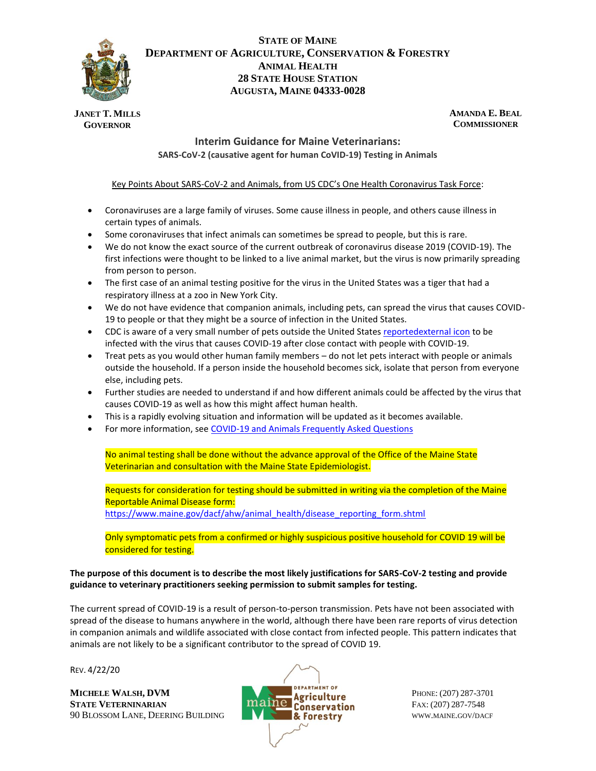

# **STATE OF MAINE DEPARTMENT OF AGRICULTURE, CONSERVATION & FORESTRY ANIMAL HEALTH 28 STATE HOUSE STATION AUGUSTA, MAINE 04333-0028**

**JANET T. MILLS GOVERNOR**

**AMANDA E. BEAL COMMISSIONER**

## **Interim Guidance for Maine Veterinarians: SARS-CoV-2 (causative agent for human CoVID-19) Testing in Animals**

### Key Points About SARS-CoV-2 and Animals, from US CDC's One Health Coronavirus Task Force:

- Coronaviruses are a large family of viruses. Some cause illness in people, and others cause illness in certain types of animals.
- Some coronaviruses that infect animals can sometimes be spread to people, but this is rare.
- We do not know the exact source of the current outbreak of coronavirus disease 2019 (COVID-19). The first infections were thought to be linked to a live animal market, but the virus is now primarily spreading from person to person.
- The first case of an animal testing positive for the virus in the United States was a tiger that had a respiratory illness at a zoo in New York City.
- We do not have evidence that companion animals, including pets, can spread the virus that causes COVID-19 to people or that they might be a source of infection in the United States.
- CDC is aware of a very small number of pets outside the United States [reportedexternal icon](https://www.oie.int/en/scientific-expertise/specific-information-and-recommendations/questions-and-answers-on-2019novel-coronavirus/) to be infected with the virus that causes COVID-19 after close contact with people with COVID-19.
- Treat pets as you would other human family members do not let pets interact with people or animals outside the household. If a person inside the household becomes sick, isolate that person from everyone else, including pets.
- Further studies are needed to understand if and how different animals could be affected by the virus that causes COVID-19 as well as how this might affect human health.
- This is a rapidly evolving situation and information will be updated as it becomes available.
- For more information, see [COVID-19 and Animals Frequently Asked Questions](https://www.cdc.gov/coronavirus/2019-ncov/faq.html#COVID-19-and-Animals)

No animal testing shall be done without the advance approval of the Office of the Maine State Veterinarian and consultation with the Maine State Epidemiologist.

Requests for consideration for testing should be submitted in writing via the completion of the Maine Reportable Animal Disease form:

[https://www.maine.gov/dacf/ahw/animal\\_health/disease\\_reporting\\_form.shtml](https://www.maine.gov/dacf/ahw/animal_health/disease_reporting_form.shtml)

Only symptomatic pets from a confirmed or highly suspicious positive household for COVID 19 will be considered for testing.

#### **The purpose of this document is to describe the most likely justifications for SARS-CoV-2 testing and provide guidance to veterinary practitioners seeking permission to submit samples for testing.**

The current spread of COVID-19 is a result of person-to-person transmission. Pets have not been associated with spread of the disease to humans anywhere in the world, although there have been rare reports of virus detection in companion animals and wildlife associated with close contact from infected people. This pattern indicates that animals are not likely to be a significant contributor to the spread of COVID 19.

REV. 4/22/20

**STATE VETERNINARIAN EXECUTE: Conservation** FAX: (207) 287-7548 90 BLOSSOM LANE, DEERING BUILDING **WWW.MAINE.GOV/DACF** 

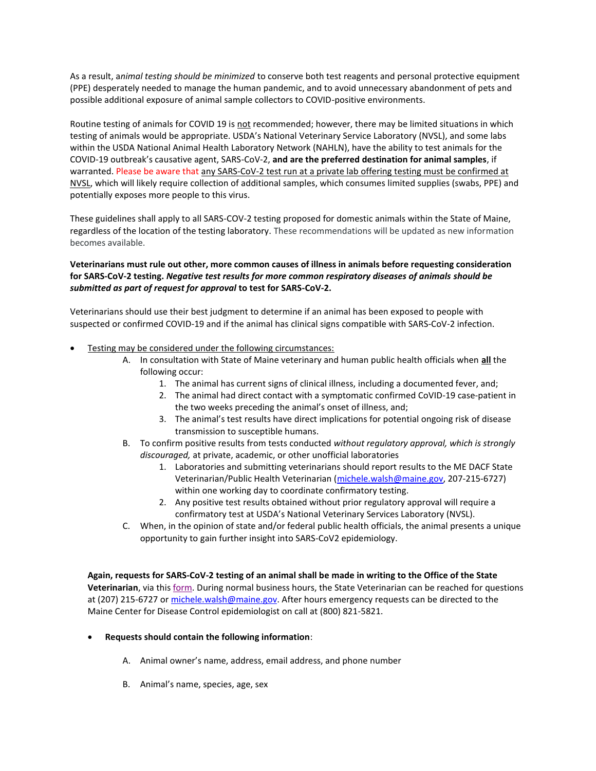As a result, a*nimal testing should be minimized* to conserve both test reagents and personal protective equipment (PPE) desperately needed to manage the human pandemic, and to avoid unnecessary abandonment of pets and possible additional exposure of animal sample collectors to COVID-positive environments.

Routine testing of animals for COVID 19 is not recommended; however, there may be limited situations in which testing of animals would be appropriate. USDA's National Veterinary Service Laboratory (NVSL), and some labs within the USDA National Animal Health Laboratory Network (NAHLN), have the ability to test animals for the COVID-19 outbreak's causative agent, SARS-CoV-2, **and are the preferred destination for animal samples**, if warranted. Please be aware that any SARS-CoV-2 test run at a private lab offering testing must be confirmed at NVSL, which will likely require collection of additional samples, which consumes limited supplies (swabs, PPE) and potentially exposes more people to this virus.

These guidelines shall apply to all SARS-COV-2 testing proposed for domestic animals within the State of Maine, regardless of the location of the testing laboratory. These recommendations will be updated as new information becomes available.

## **Veterinarians must rule out other, more common causes of illness in animals before requesting consideration for SARS-CoV-2 testing.** *Negative test results for more common respiratory diseases of animals should be submitted as part of request for approval* **to test for SARS-CoV-2.**

Veterinarians should use their best judgment to determine if an animal has been exposed to people with suspected or confirmed COVID-19 and if the animal has clinical signs compatible with SARS-CoV-2 infection.

- Testing may be considered under the following circumstances:
	- A. In consultation with State of Maine veterinary and human public health officials when **all** the following occur:
		- 1. The animal has current signs of clinical illness, including a documented fever, and;
		- 2. The animal had direct contact with a symptomatic confirmed CoVID-19 case-patient in the two weeks preceding the animal's onset of illness, and;
		- 3. The animal's test results have direct implications for potential ongoing risk of disease transmission to susceptible humans.
	- B. To confirm positive results from tests conducted *without regulatory approval, which is strongly discouraged,* at private, academic, or other unofficial laboratories
		- 1. Laboratories and submitting veterinarians should report results to the ME DACF State Veterinarian/Public Health Veterinarian [\(michele.walsh@maine.gov,](mailto:michele.walsh@maine.gov) 207-215-6727) within one working day to coordinate confirmatory testing.
		- 2. Any positive test results obtained without prior regulatory approval will require a confirmatory test at USDA's National Veterinary Services Laboratory (NVSL).
	- C. When, in the opinion of state and/or federal public health officials, the animal presents a unique opportunity to gain further insight into SARS-CoV2 epidemiology.

**Again, requests for SARS-CoV-2 testing of an animal shall be made in writing to the Office of the State Veterinarian**, via this [form.](https://www.maine.gov/dacf/ahw/animal_health/disease_reporting_form.shtml) During normal business hours, the State Veterinarian can be reached for questions at (207) 215-6727 or [michele.walsh@maine.gov.](mailto:michele.walsh@maine.gov) After hours emergency requests can be directed to the Maine Center for Disease Control epidemiologist on call at (800) 821-5821.

#### • **Requests should contain the following information**:

- A. Animal owner's name, address, email address, and phone number
- B. Animal's name, species, age, sex